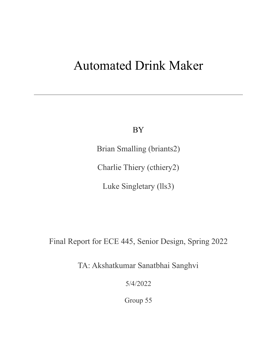# Automated Drink Maker

BY

Brian Smalling (briants2)

Charlie Thiery (cthiery2)

Luke Singletary (lls3)

Final Report for ECE 445, Senior Design, Spring 2022

TA: Akshatkumar Sanatbhai Sanghvi

5/4/2022

Group 55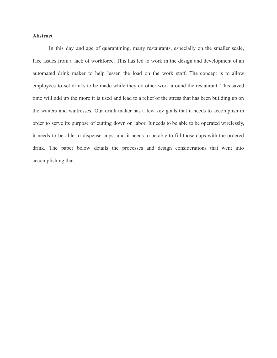# **Abstract**

In this day and age of quarantining, many restaurants, especially on the smaller scale, face issues from a lack of workforce. This has led to work in the design and development of an automated drink maker to help lessen the load on the work staff. The concept is to allow employees to set drinks to be made while they do other work around the restaurant. This saved time will add up the more it is used and lead to a relief of the stress that has been building up on the waiters and waitresses. Our drink maker has a few key goals that it needs to accomplish in order to serve its purpose of cutting down on labor. It needs to be able to be operated wirelessly, it needs to be able to dispense cups, and it needs to be able to fill those cups with the ordered drink. The paper below details the processes and design considerations that went into accomplishing that.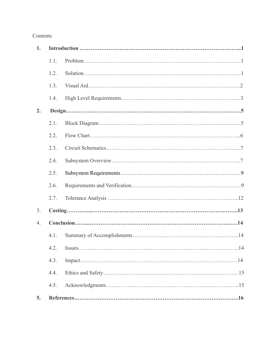# Contents

| 1.               |      |     |  |
|------------------|------|-----|--|
|                  | 1.1. |     |  |
|                  | 1.2. |     |  |
|                  | 1.3. |     |  |
|                  | 1.4. |     |  |
| 2.               |      |     |  |
|                  | 2.1. |     |  |
|                  | 2.2. |     |  |
|                  | 2.3. |     |  |
|                  | 2.4. |     |  |
|                  | 2.5. |     |  |
|                  | 2.6. |     |  |
|                  | 2.7. |     |  |
| 3 <sub>1</sub>   |      |     |  |
| $\overline{4}$ . |      |     |  |
|                  | 4.1. |     |  |
|                  |      | .14 |  |
|                  | 4.3. |     |  |
|                  | 4.4. |     |  |
|                  | 4.5. |     |  |
| 5.               |      |     |  |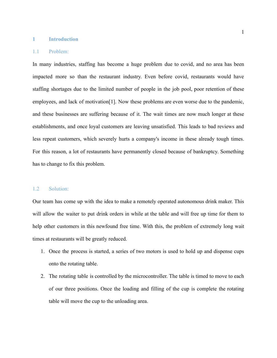#### **1 Introduction**

#### 1.1 Problem:

In many industries, staffing has become a huge problem due to covid, and no area has been impacted more so than the restaurant industry. Even before covid, restaurants would have staffing shortages due to the limited number of people in the job pool, poor retention of these employees, and lack of motivation[1]. Now these problems are even worse due to the pandemic, and these businesses are suffering because of it. The wait times are now much longer at these establishments, and once loyal customers are leaving unsatisfied. This leads to bad reviews and less repeat customers, which severely hurts a company's income in these already tough times. For this reason, a lot of restaurants have permanently closed because of bankruptcy. Something has to change to fix this problem.

#### 1.2 Solution:

Our team has come up with the idea to make a remotely operated autonomous drink maker. This will allow the waiter to put drink orders in while at the table and will free up time for them to help other customers in this newfound free time. With this, the problem of extremely long wait times at restaurants will be greatly reduced.

- 1. Once the process is started, a series of two motors is used to hold up and dispense cups onto the rotating table.
- 2. The rotating table is controlled by the microcontroller. The table is timed to move to each of our three positions. Once the loading and filling of the cup is complete the rotating table will move the cup to the unloading area.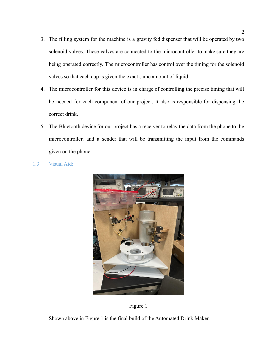- 3. The filling system for the machine is a gravity fed dispenser that will be operated by two solenoid valves. These valves are connected to the microcontroller to make sure they are being operated correctly. The microcontroller has control over the timing for the solenoid valves so that each cup is given the exact same amount of liquid.
- 4. The microcontroller for this device is in charge of controlling the precise timing that will be needed for each component of our project. It also is responsible for dispensing the correct drink.
- 5. The Bluetooth device for our project has a receiver to relay the data from the phone to the microcontroller, and a sender that will be transmitting the input from the commands given on the phone.
- 1.3 Visual Aid:





Shown above in Figure 1 is the final build of the Automated Drink Maker.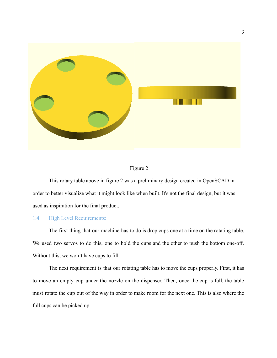

## Figure 2

This rotary table above in figure 2 was a preliminary design created in OpenSCAD in order to better visualize what it might look like when built. It's not the final design, but it was used as inspiration for the final product.

# 1.4 High Level Requirements:

The first thing that our machine has to do is drop cups one at a time on the rotating table. We used two servos to do this, one to hold the cups and the other to push the bottom one-off. Without this, we won't have cups to fill.

The next requirement is that our rotating table has to move the cups properly. First, it has to move an empty cup under the nozzle on the dispenser. Then, once the cup is full, the table must rotate the cup out of the way in order to make room for the next one. This is also where the full cups can be picked up.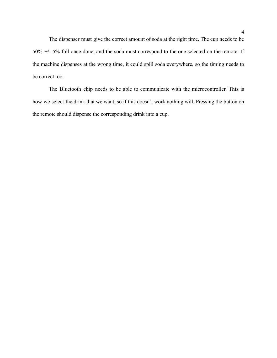The dispenser must give the correct amount of soda at the right time. The cup needs to be 50% +/- 5% full once done, and the soda must correspond to the one selected on the remote. If the machine dispenses at the wrong time, it could spill soda everywhere, so the timing needs to be correct too.

The Bluetooth chip needs to be able to communicate with the microcontroller. This is how we select the drink that we want, so if this doesn't work nothing will. Pressing the button on the remote should dispense the corresponding drink into a cup.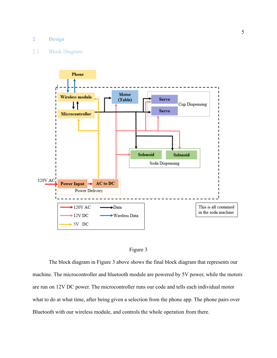#### **2 Design**

#### 2.1 Block Diagram:





The block diagram in Figure 3 above shows the final block diagram that represents our machine. The microcontroller and bluetooth module are powered by 5V power, while the motors are run on 12V DC power. The microcontroller runs our code and tells each individual motor what to do at what time, after being given a selection from the phone app. The phone pairs over Bluetooth with our wireless module, and controls the whole operation from there.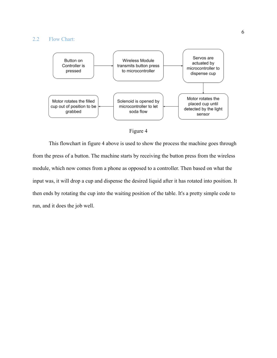#### 2.2 Flow Chart:





This flowchart in figure 4 above is used to show the process the machine goes through from the press of a button. The machine starts by receiving the button press from the wireless module, which now comes from a phone as opposed to a controller. Then based on what the input was, it will drop a cup and dispense the desired liquid after it has rotated into position. It then ends by rotating the cup into the waiting position of the table. It's a pretty simple code to run, and it does the job well.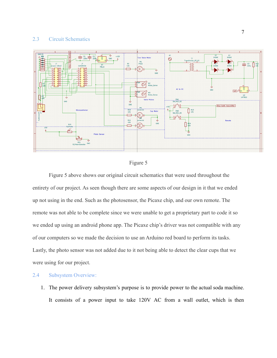## 2.3 Circuit Schematics





Figure 5 above shows our original circuit schematics that were used throughout the entirety of our project. As seen though there are some aspects of our design in it that we ended up not using in the end. Such as the photosensor, the Picaxe chip, and our own remote. The remote was not able to be complete since we were unable to get a proprietary part to code it so we ended up using an android phone app. The Picaxe chip's driver was not compatible with any of our computers so we made the decision to use an Arduino red board to perform its tasks. Lastly, the photo sensor was not added due to it not being able to detect the clear cups that we were using for our project.

## 2.4 Subsystem Overview:

1. The power delivery subsystem's purpose is to provide power to the actual soda machine. It consists of a power input to take 120V AC from a wall outlet, which is then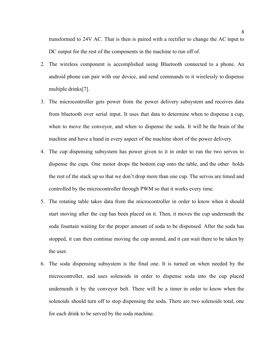transformed to 24V AC. That is then is paired with a rectifier to change the AC input to DC output for the rest of the components in the machine to run off of.

- 2. The wireless component is accomplished using Bluetooth connected to a phone. An android phone can pair with our device, and send commands to it wirelessly to dispense multiple drinks[7].
- 3. The microcontroller gets power from the power delivery subsystem and receives data from bluetooth over serial input. It uses that data to determine when to dispense a cup, when to move the conveyor, and when to dispense the soda. It will be the brain of the machine and have a hand in every aspect of the machine short of the power delivery.
- 4. The cup dispensing subsystem has power given to it in order to run the two servos to dispense the cups. One motor drops the bottom cup onto the table, and the other holds the rest of the stack up so that we don't drop more than one cup. The servos are timed and controlled by the microcontroller through PWM so that it works every time.
- 5. The rotating table takes data from the microcontroller in order to know when it should start moving after the cup has been placed on it. Then, it moves the cup underneath the soda fountain waiting for the proper amount of soda to be dispensed. After the soda has stopped, it can then continue moving the cup around, and it can wait there to be taken by the user.
- 6. The soda dispensing subsystem is the final one. It is turned on when needed by the microcontroller, and uses solenoids in order to dispense soda into the cup placed underneath it by the conveyor belt. There will be a timer in order to know when the solenoids should turn off to stop dispensing the soda. There are two solenoids total, one for each drink to be served by the soda machine.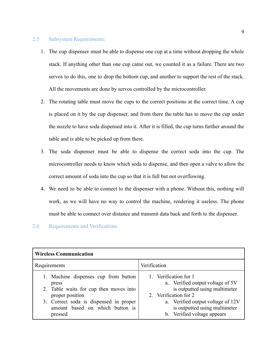#### 2.5 Subsystem Requirements:

- 1. The cup dispenser must be able to dispense one cup at a time without dropping the whole stack. If anything other than one cup came out, we counted it as a failure. There are two servos to do this, one to drop the bottom cup, and another to support the rest of the stack. All the movements are done by servos controlled by the microcontroller.
- 2. The rotating table must move the cups to the correct positions at the correct time. A cup is placed on it by the cup dispenser, and from there the table has to move the cup under the nozzle to have soda dispensed into it. After it is filled, the cup turns further around the table and is able to be picked up from there.
- 3. The soda dispenser must be able to dispense the correct soda into the cup. The microcontroller needs to know which soda to dispense, and then open a valve to allow the correct amount of soda into the cup so that it is full but not overflowing.
- 4. We need to be able to connect to the dispenser with a phone. Without this, nothing will work, as we will have no way to control the machine, rendering it useless. The phone must be able to connect over distance and transmit data back and forth to the dispenser.

# 2.6 Requirements and Verifications

| <b>Wireless Communication</b>                                                                                                                                                                      |                                                                                                                                                                                                                          |  |  |  |
|----------------------------------------------------------------------------------------------------------------------------------------------------------------------------------------------------|--------------------------------------------------------------------------------------------------------------------------------------------------------------------------------------------------------------------------|--|--|--|
| Requirements                                                                                                                                                                                       | Verification                                                                                                                                                                                                             |  |  |  |
| 1. Machine dispenses cup from button<br>press<br>2. Table waits for cup then moves into<br>proper position<br>3. Correct soda is dispensed in proper<br>amount based on which button is<br>pressed | 1. Verification for 1<br>a. Verified output voltage of 5V<br>is outputted using multimeter<br>2. Verification for 2<br>a. Verified output voltage of 12V<br>is outputted using multimeter<br>b. Verified voltage appears |  |  |  |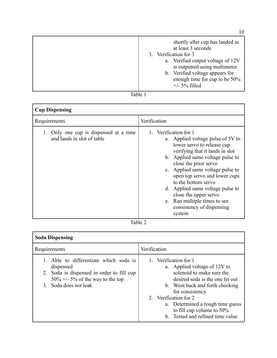| shortly after cup has landed in<br>at least 3 seconds<br>3. Verification for 3<br>a. Verified output voltage of 12V<br>is outputted using multimeter<br>b. Verified voltage appears for<br>enough time for cup to be 50% |
|--------------------------------------------------------------------------------------------------------------------------------------------------------------------------------------------------------------------------|
| $+/- 5\%$ filled                                                                                                                                                                                                         |
|                                                                                                                                                                                                                          |

Table 1

| <b>Cup Dispensing</b>                                             |                                                                                                                                                                                                                                                                                                                                                                                                                          |  |  |  |
|-------------------------------------------------------------------|--------------------------------------------------------------------------------------------------------------------------------------------------------------------------------------------------------------------------------------------------------------------------------------------------------------------------------------------------------------------------------------------------------------------------|--|--|--|
| Requirements                                                      | Verification                                                                                                                                                                                                                                                                                                                                                                                                             |  |  |  |
| Only one cup is dispensed at a time<br>and lands in slot of table | 1. Verification for 1<br>a. Applied voltage pulse of 5V to<br>lower servo to release cup<br>verifying that it lands in slot<br>b. Applied same voltage pulse to<br>close the prior servo<br>c. Applied same voltage pulse to<br>open top servo and lower cups<br>to the bottom servo<br>d. Applied same voltage pulse to<br>close the upper servo<br>e. Ran multiple times to see<br>consistency of dispensing<br>system |  |  |  |



| <b>Soda Dispensing</b>                                                                                                                                                         |                                                                                                                                                                                                                                                                                                              |  |  |  |
|--------------------------------------------------------------------------------------------------------------------------------------------------------------------------------|--------------------------------------------------------------------------------------------------------------------------------------------------------------------------------------------------------------------------------------------------------------------------------------------------------------|--|--|--|
| Requirements                                                                                                                                                                   | Verification                                                                                                                                                                                                                                                                                                 |  |  |  |
| 1. Able to differentiate which soda is<br>dispensed<br>2. Soda is dispensed in order to fill cup<br>$50\% +1.5\%$ of the way to the top<br>Soda does not leak<br>$\mathcal{E}$ | 1. Verification for 1<br>a. Applied voltage of 12V to<br>solenoid to make sure the<br>desired soda is the one let out<br>b. Went back and forth checking<br>for consistency<br>2. Verification for 2<br>a. Determined a rough time guess<br>to fill cup volume to $50\%$<br>b. Tested and refined time value |  |  |  |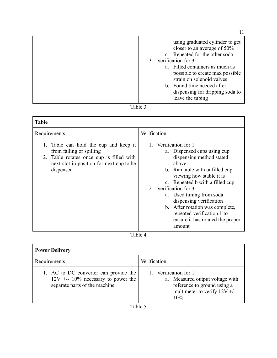| using graduated cylinder to get<br>closer to an average of 50%<br>c. Repeated for the other soda<br>3. Verification for 3<br>a. Filled containers as much as<br>possible to create max possible |  |
|-------------------------------------------------------------------------------------------------------------------------------------------------------------------------------------------------|--|
| strain on solenoid valves<br>b. Found time needed after<br>dispensing for dripping soda to<br>leave the tubing                                                                                  |  |

# Table 3

| <b>Table</b>                                                                                                                                                           |                                                                                                                                                                                                                                                                                                                                                                                           |  |  |  |
|------------------------------------------------------------------------------------------------------------------------------------------------------------------------|-------------------------------------------------------------------------------------------------------------------------------------------------------------------------------------------------------------------------------------------------------------------------------------------------------------------------------------------------------------------------------------------|--|--|--|
| Requirements                                                                                                                                                           | Verification                                                                                                                                                                                                                                                                                                                                                                              |  |  |  |
| 1. Table can hold the cup and keep it<br>from falling or spilling<br>2. Table rotates once cup is filled with<br>next slot in position for next cup to be<br>dispensed | 1. Verification for 1<br>a. Dispensed cups using cup<br>dispensing method stated<br>above<br>b. Ran table with unfilled cup<br>viewing how stable it is<br>c. Repeated b with a filled cup<br>2. Verification for 3<br>a. Used timing from soda<br>dispensing verification<br>b. After rotation was complete,<br>repeated verification 1 to<br>ensure it has rotated the proper<br>amount |  |  |  |
|                                                                                                                                                                        |                                                                                                                                                                                                                                                                                                                                                                                           |  |  |  |

Table 4

| <b>Power Delivery</b>                                                                                        |                                                                                                                                   |  |  |  |
|--------------------------------------------------------------------------------------------------------------|-----------------------------------------------------------------------------------------------------------------------------------|--|--|--|
| Requirements                                                                                                 | Verification                                                                                                                      |  |  |  |
| 1. AC to DC converter can provide the<br>$12V +10\%$ necessary to power the<br>separate parts of the machine | 1. Verification for 1<br>a. Measured output voltage with<br>reference to ground using a<br>multimeter to verify $12V +$ /-<br>10% |  |  |  |
| $T = 1.1$                                                                                                    |                                                                                                                                   |  |  |  |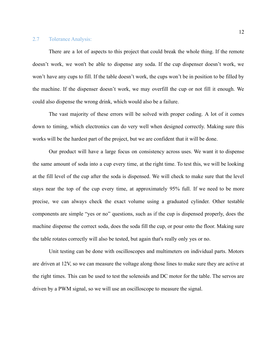#### 2.7 Tolerance Analysis:

There are a lot of aspects to this project that could break the whole thing. If the remote doesn't work, we won't be able to dispense any soda. If the cup dispenser doesn't work, we won't have any cups to fill. If the table doesn't work, the cups won't be in position to be filled by the machine. If the dispenser doesn't work, we may overfill the cup or not fill it enough. We could also dispense the wrong drink, which would also be a failure.

The vast majority of these errors will be solved with proper coding. A lot of it comes down to timing, which electronics can do very well when designed correctly. Making sure this works will be the hardest part of the project, but we are confident that it will be done.

Our product will have a large focus on consistency across uses. We want it to dispense the same amount of soda into a cup every time, at the right time. To test this, we will be looking at the fill level of the cup after the soda is dispensed. We will check to make sure that the level stays near the top of the cup every time, at approximately 95% full. If we need to be more precise, we can always check the exact volume using a graduated cylinder. Other testable components are simple "yes or no" questions, such as if the cup is dispensed properly, does the machine dispense the correct soda, does the soda fill the cup, or pour onto the floor. Making sure the table rotates correctly will also be tested, but again that's really only yes or no.

Unit testing can be done with oscilloscopes and multimeters on individual parts. Motors are driven at 12V, so we can measure the voltage along those lines to make sure they are active at the right times. This can be used to test the solenoids and DC motor for the table. The servos are driven by a PWM signal, so we will use an oscilloscope to measure the signal.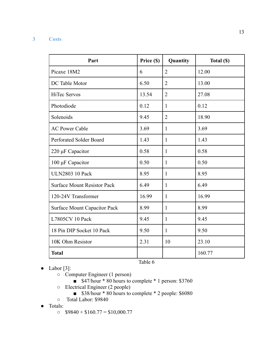# **3 Costs**

| Part                                | Price (\$) | Quantity       | Total (\$) |
|-------------------------------------|------------|----------------|------------|
| Picaxe 18M2                         | 6          | $\overline{2}$ | 12.00      |
| DC Table Motor                      | 6.50       | $\overline{2}$ | 13.00      |
| <b>HiTec Servos</b>                 | 13.54      | $\overline{2}$ | 27.08      |
| Photodiode                          | 0.12       | $\mathbf{1}$   | 0.12       |
| Solenoids                           | 9.45       | $\overline{2}$ | 18.90      |
| <b>AC Power Cable</b>               | 3.69       | $\mathbf{1}$   | 3.69       |
| Perforated Solder Board             | 1.43       | $\mathbf{1}$   | 1.43       |
| $220 \mu F$ Capacitor               | 0.58       | $\mathbf{1}$   | 0.58       |
| 100 μF Capacitor                    | 0.50       | $\mathbf{1}$   | 0.50       |
| <b>ULN2803 10 Pack</b>              | 8.95       | $\mathbf{1}$   | 8.95       |
| <b>Surface Mount Resistor Pack</b>  | 6.49       | $\mathbf{1}$   | 6.49       |
| 120-24V Transformer                 | 16.99      | $\mathbf{1}$   | 16.99      |
| <b>Surface Mount Capacitor Pack</b> | 8.99       | $\mathbf{1}$   | 8.99       |
| L7805CV 10 Pack                     | 9.45       | $\mathbf{1}$   | 9.45       |
| 18 Pin DIP Socket 10 Pack           | 9.50       | $\mathbf{1}$   | 9.50       |
| 10K Ohm Resistor                    | 2.31       | 10             | 23.10      |
| <b>Total</b>                        |            |                | 160.77     |
|                                     | Table 6    |                |            |

- Labor [3]:
	- Computer Engineer (1 person)
		- $\blacksquare$  \$47/hour \* 80 hours to complete \* 1 person: \$3760
	- Electrical Engineer (2 people)
		- \$38/hour \* 80 hours to complete \* 2 people: \$6080
	- Total Labor: \$9840
- Totals:
	- $\circ$  \$9840 + \$160.77 = \$10,000.77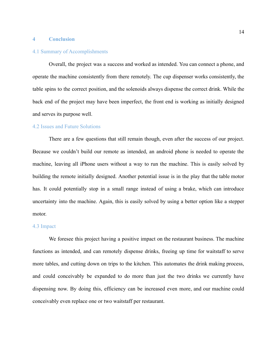#### **4 Conclusion**

#### 4.1 Summary of Accomplishments

Overall, the project was a success and worked as intended. You can connect a phone, and operate the machine consistently from there remotely. The cup dispenser works consistently, the table spins to the correct position, and the solenoids always dispense the correct drink. While the back end of the project may have been imperfect, the front end is working as initially designed and serves its purpose well.

#### 4.2 Issues and Future Solutions

There are a few questions that still remain though, even after the success of our project. Because we couldn't build our remote as intended, an android phone is needed to operate the machine, leaving all iPhone users without a way to run the machine. This is easily solved by building the remote initially designed. Another potential issue is in the play that the table motor has. It could potentially stop in a small range instead of using a brake, which can introduce uncertainty into the machine. Again, this is easily solved by using a better option like a stepper motor.

#### 4.3 Impact

We foresee this project having a positive impact on the restaurant business. The machine functions as intended, and can remotely dispense drinks, freeing up time for waitstaff to serve more tables, and cutting down on trips to the kitchen. This automates the drink making process, and could conceivably be expanded to do more than just the two drinks we currently have dispensing now. By doing this, efficiency can be increased even more, and our machine could conceivably even replace one or two waitstaff per restaurant.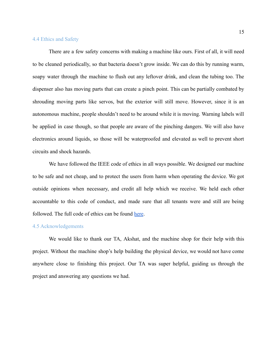#### 4.4 Ethics and Safety

There are a few safety concerns with making a machine like ours. First of all, it will need to be cleaned periodically, so that bacteria doesn't grow inside. We can do this by running warm, soapy water through the machine to flush out any leftover drink, and clean the tubing too. The dispenser also has moving parts that can create a pinch point. This can be partially combated by shrouding moving parts like servos, but the exterior will still move. However, since it is an autonomous machine, people shouldn't need to be around while it is moving. Warning labels will be applied in case though, so that people are aware of the pinching dangers. We will also have electronics around liquids, so those will be waterproofed and elevated as well to prevent short circuits and shock hazards.

We have followed the IEEE code of ethics in all ways possible. We designed our machine to be safe and not cheap, and to protect the users from harm when operating the device. We got outside opinions when necessary, and credit all help which we receive. We held each other accountable to this code of conduct, and made sure that all tenants were and still are being followed. The full code of ethics can be found [here](https://www.ieee.org/about/corporate/governance/p7-8.html).

# 4.5 Acknowledgements

We would like to thank our TA, Akshat, and the machine shop for their help with this project. Without the machine shop's help building the physical device, we would not have come anywhere close to finishing this project. Our TA was super helpful, guiding us through the project and answering any questions we had.